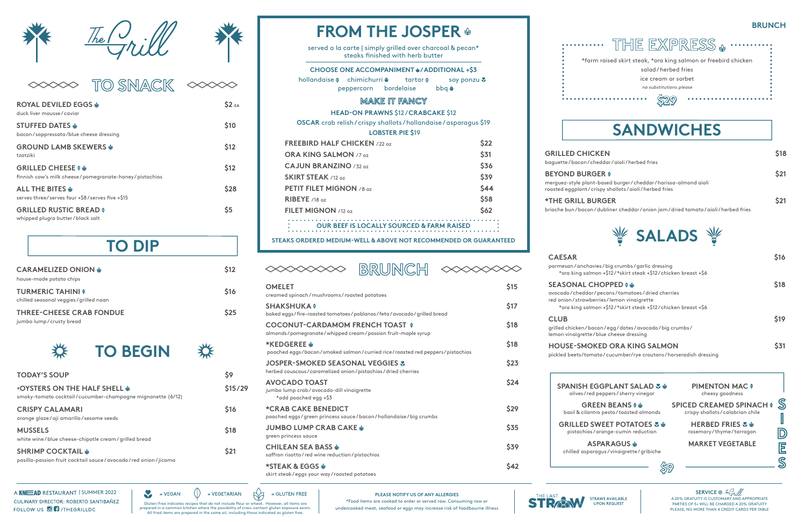#### **BRUNCH**

| <b>CARAMELIZED ONION \$</b><br>house-made potato chips            | <b>S12</b>  |
|-------------------------------------------------------------------|-------------|
| <b>TURMERIC TAHINI O</b><br>chilled seasonal veggies/grilled naan | <b>S16</b>  |
| <b>THREE-CHEESE CRAB FONDUE</b><br>jumbo lump/crusty bread        | <b>\$25</b> |

### **TO DIP**

**\*THE GRILL BURGER \$21** brioche bun/ bacon

| <b>TODAY'S SOUP</b>                                                                                   | S9              |
|-------------------------------------------------------------------------------------------------------|-----------------|
| <b>*OYSTERS ON THE HALF SHELL &amp;</b><br>smoky-tomato cocktail/cucumber-champagne mignonette (6/12) | \$15/29         |
| <b>CRISPY CALAMARI</b><br>orange glaze/aji amarillo/sesame seeds                                      | <b>S16</b>      |
| <b>MUSSELS</b><br>white wine/blue cheese-chipotle cream/grilled bread                                 | \$18            |
| <b>SHRIMP COCKTAIL \$</b><br>pasilla-passion fruit cocktail sauce/avocado/red onion/jicama            | S <sub>21</sub> |

 $\mathbf{v}$ 

 $=$  VEGAN



served a la carte | simply grilled over charcoal & pecan\* steaks finished with herb butter

#### **CHOOSE ONE ACCOMPANIMENT @/ADDITIONAL +\$3**

peppercorn bordelaise bbq & hollandaise  $\phi$  chimichurri  $\phi$  tartar  $\phi$  soy ponzu  $\phi$ 



\$29

#### **CAESAR \$16**

. . . . .

**SEASONAL C** avocado / cheddar red onion/strawbe \*ora king salm

grilled chicken/ba lemon vinaigrette

**HOUSE-SMOK** pickled beets/tom

 $\aleph$ Gluten-Free indicates recipes that do not include flour or wheat. However, all items are prepared in a common kitchen where the possibility of cross-contact gluten exposure exists. All fried items are prepared in the same oil, including those indicated as gluten free.

 $= VEGETARIAN$ 

 $=$  GLUTEN FREE

 $\circ$ 

| $/$ he $/$<br>$\frac{2}{7}\hbar$ ill.                                                  |               |
|----------------------------------------------------------------------------------------|---------------|
| TO SNACK                                                                               |               |
| <b>ROYAL DEVILED EGGS &amp;</b><br>duck liver mousse/caviar                            | <b>\$2</b> EA |
| <b>STUFFED DATES ⊕</b><br>bacon/soppressata/blue cheese dressing                       | \$10          |
| <b>GROUND LAMB SKEWERS &amp;</b><br>tzatziki                                           | \$12          |
| <b>GRILLED CHEESE 0 \$</b><br>finnish cow's milk cheese/pomegranate-honey/pistachios   | \$12          |
| ALL THE BITES $\mathbf{\hat{\Phi}}$<br>serves three/serves four +\$8/serves five +\$15 | \$28          |
| <b>GRILLED RUSTIC BREAD O</b><br>whipped plugra butter/black salt                      | \$5           |



| BRUNCH                                                                                                     |            |
|------------------------------------------------------------------------------------------------------------|------------|
| <b>OMELET</b><br>creamed spinach/mushrooms/roasted potatoes                                                | \$15       |
| <b>SHAKSHUKA 0</b><br>baked eggs/fire-roasted tomatoes/poblanos/feta/avocado/grilled bread                 | \$17       |
| <b>COCONUT-CARDAMOM FRENCH TOAST OF</b><br>almonds/pomegranate/whipped cream/passion fruit-maple syrup     | \$18       |
| $*$ KEDGEREE $\omega$<br>poached eggs/bacon/smoked salmon/curried rice/roasted red peppers/pistachios      | \$18       |
| <b>JOSPER-SMOKED SEASONAL VEGGIES &amp;</b><br>herbed couscous/caramelized onion/pistachios/dried cherries | \$23       |
| <b>AVOCADO TOAST</b><br>jumbo lump crab/avocado-dill vinaigrette<br>*add poached egg +\$3                  | \$24       |
| <b>*CRAB CAKE BENEDICT</b><br>poached eggs/green princess sauce/bacon/hollandaise/big crumbs               | \$29       |
| <b>JUMBO LUMP CRAB CAKE &amp;</b><br>green princess sauce                                                  | \$35       |
| <b>CHILEAN SEA BASS &amp;</b><br>saffron risotto/red wine reduction/pistachios                             | \$39       |
| *STEAK & EGGS &<br>skirt steak/eggs your way/roasted potatoes                                              | <b>S42</b> |



**GRILLED CHIC** baguette / bacon / cl

**BEYOND BURG** merguez-style plant roasted eggplant/cr

| <b>SPANISH EGGPLANT SALAD &amp; &amp;</b><br>olives/red peppers/sherry vinegar | <b>PIMENTON MAC 0</b><br>cheesy goodness                           |           |
|--------------------------------------------------------------------------------|--------------------------------------------------------------------|-----------|
| <b>GREEN BEANS 0 \$</b><br>basil & cilantro pesto/toasted almonds              | <b>SPICED CREAMED SPINACH O</b><br>crispy shallots/calabrian chile | ${\bf S}$ |
| <b>GRILLED SWEET POTATOES &amp; ♦</b><br>pistachios/orange-cumin reduction     | <b>HERBED FRIES &amp; ⊕</b><br>rosemary/thyme/tarragon             |           |
| <b>ASPARAGUS ⊕</b><br>chilled asparagus/vinaigrette/gribiche                   | <b>MARKET VEGETABLE</b>                                            |           |
|                                                                                |                                                                    |           |

| <b>SRILLED CHICKEN</b>                                                                                                                                                                         | \$18 |
|------------------------------------------------------------------------------------------------------------------------------------------------------------------------------------------------|------|
| aguette/bacon/cheddar/aioli/herbed fries                                                                                                                                                       |      |
| <b>EYOND BURGER O</b><br>erguez-style plant-based burger/cheddar/harissa-almond aioli<br>oasted eggplant/crispy shallots/aioli/herbed fries                                                    | \$21 |
| <b>THE GRILL BURGER</b><br>rioche bun/bacon/dubliner cheddar/onion jam/dried tomato/aioli/herbed fries                                                                                         | \$21 |
|                                                                                                                                                                                                |      |
| <b>CAESAR</b><br>parmesan/anchovies/big crumbs/garlic dressing<br>*ora king salmon +\$12/*skirt steak +\$12/chicken breast +\$6                                                                | \$16 |
| <b>SEASONAL CHOPPED 0 &amp;</b><br>avocado/cheddar/pecans/tomatoes/dried cherries<br>red onion/strawberries/lemon vinaigrette<br>*ora king salmon +\$12/*skirt steak +\$12/chicken breast +\$6 | \$18 |
| <b>CLUB</b><br>grilled chicken/bacon/egg/dates/avocado/big crumbs/<br>lemon vinaigrette/blue cheese dressing                                                                                   | \$19 |
| <b>HOUSE-SMOKED ORA KING SALMON</b><br>pickled beets/tomato/cucumber/rye croutons/horseradish dressing                                                                                         | \$31 |

| <b>SPANISH EG</b><br>olives/red p  |
|------------------------------------|
| <b>GREE</b><br>basil & cilantro    |
| <b>GRILLED SW</b><br>pistachios/or |
| <b>ASP</b><br>chilled asparac      |

A KNEAD RESTAURANT I SUMMER 2022 **CULINARY DIRECTOR: ROBERTO SANTIBAÑEZ** FOLLOW US **OF** /THEGRILLDC



STRAWS AVAILABLE **UPON REQUEST** 

**PLEASE NOTIFY US OF ANY ALLERGIES** \*Food items are cooked to order or served raw. Consuming raw or undercooked meat, seafood or eggs may increase risk of foodbourne illness

A 20% GRATUITY IS CUSTOMARY AND APPROPRIATE PARTIES OF 5+ WILL BE CHARGED A 20% GRATUITY PLEASE, NO MORE THAN 4 CREDIT CARDS PER TABLE **SERVICE @**

## **FROM THE JOSPER**

| <b>FREEBIRD HALF CHICKEN /22 oz</b>                  | \$22        |
|------------------------------------------------------|-------------|
| <b>ORA KING SALMON /7 oz</b>                         | \$31        |
| CAJUN BRANZINO $/32$ oz                              | \$36        |
| <b>SKIRT STEAK</b> /12 oz                            | \$39        |
| <b>PETIT FILET MIGNON /8 oz</b>                      | \$44        |
| RIBEYE /18 $oz$                                      | \$58        |
| <b>FILET MIGNON</b> $/12.07$                         | <b>\$62</b> |
| <b>OUR BEEF IS LOCALLY SOURCED &amp; FARM RAISED</b> |             |

#### **STEAKS ORDERED MEDIUM-WELL & ABOVE NOT RECOMMENDED OR GUARANTEED**

### **MAKE IT FANCY**

**HEAD-ON PRAWNS** \$12 / **CRABCAKE** \$12

**OSCAR** crab relish / crispy shallots / hollandaise / asparagus \$19 **LOBSTER PIE \$**19